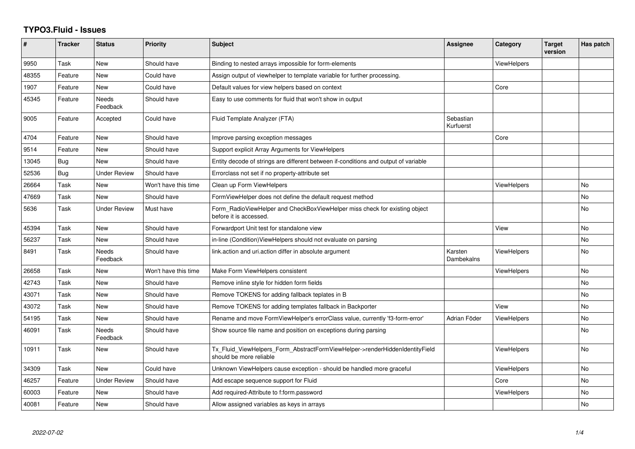## **TYPO3.Fluid - Issues**

| #     | <b>Tracker</b> | <b>Status</b>       | <b>Priority</b>      | Subject                                                                                                | Assignee               | Category           | <b>Target</b><br>version | Has patch |
|-------|----------------|---------------------|----------------------|--------------------------------------------------------------------------------------------------------|------------------------|--------------------|--------------------------|-----------|
| 9950  | Task           | <b>New</b>          | Should have          | Binding to nested arrays impossible for form-elements                                                  |                        | ViewHelpers        |                          |           |
| 48355 | Feature        | New                 | Could have           | Assign output of viewhelper to template variable for further processing.                               |                        |                    |                          |           |
| 1907  | Feature        | <b>New</b>          | Could have           | Default values for view helpers based on context                                                       |                        | Core               |                          |           |
| 45345 | Feature        | Needs<br>Feedback   | Should have          | Easy to use comments for fluid that won't show in output                                               |                        |                    |                          |           |
| 9005  | Feature        | Accepted            | Could have           | Fluid Template Analyzer (FTA)                                                                          | Sebastian<br>Kurfuerst |                    |                          |           |
| 4704  | Feature        | <b>New</b>          | Should have          | Improve parsing exception messages                                                                     |                        | Core               |                          |           |
| 9514  | Feature        | New                 | Should have          | Support explicit Array Arguments for ViewHelpers                                                       |                        |                    |                          |           |
| 13045 | Bug            | <b>New</b>          | Should have          | Entity decode of strings are different between if-conditions and output of variable                    |                        |                    |                          |           |
| 52536 | Bug            | <b>Under Review</b> | Should have          | Errorclass not set if no property-attribute set                                                        |                        |                    |                          |           |
| 26664 | Task           | New                 | Won't have this time | Clean up Form ViewHelpers                                                                              |                        | <b>ViewHelpers</b> |                          | No        |
| 47669 | Task           | <b>New</b>          | Should have          | Form View Helper does not define the default request method                                            |                        |                    |                          | No        |
| 5636  | Task           | <b>Under Review</b> | Must have            | Form RadioViewHelper and CheckBoxViewHelper miss check for existing object<br>before it is accessed.   |                        |                    |                          | No        |
| 45394 | Task           | New                 | Should have          | Forwardport Unit test for standalone view                                                              |                        | View               |                          | <b>No</b> |
| 56237 | Task           | New                 | Should have          | in-line (Condition) View Helpers should not evaluate on parsing                                        |                        |                    |                          | No        |
| 8491  | Task           | Needs<br>Feedback   | Should have          | link.action and uri.action differ in absolute argument                                                 | Karsten<br>Dambekalns  | <b>ViewHelpers</b> |                          | No        |
| 26658 | Task           | New                 | Won't have this time | Make Form ViewHelpers consistent                                                                       |                        | <b>ViewHelpers</b> |                          | No        |
| 42743 | Task           | New                 | Should have          | Remove inline style for hidden form fields                                                             |                        |                    |                          | No        |
| 43071 | Task           | New                 | Should have          | Remove TOKENS for adding fallback teplates in B                                                        |                        |                    |                          | No        |
| 43072 | Task           | New                 | Should have          | Remove TOKENS for adding templates fallback in Backporter                                              |                        | View               |                          | No        |
| 54195 | Task           | New                 | Should have          | Rename and move FormViewHelper's errorClass value, currently 'f3-form-error'                           | Adrian Föder           | <b>ViewHelpers</b> |                          | No        |
| 46091 | Task           | Needs<br>Feedback   | Should have          | Show source file name and position on exceptions during parsing                                        |                        |                    |                          | <b>No</b> |
| 10911 | Task           | New                 | Should have          | Tx_Fluid_ViewHelpers_Form_AbstractFormViewHelper->renderHiddenIdentityField<br>should be more reliable |                        | <b>ViewHelpers</b> |                          | No.       |
| 34309 | Task           | New                 | Could have           | Unknown ViewHelpers cause exception - should be handled more graceful                                  |                        | ViewHelpers        |                          | No        |
| 46257 | Feature        | <b>Under Review</b> | Should have          | Add escape sequence support for Fluid                                                                  |                        | Core               |                          | No        |
| 60003 | Feature        | New                 | Should have          | Add required-Attribute to f:form.password                                                              |                        | <b>ViewHelpers</b> |                          | No        |
| 40081 | Feature        | New                 | Should have          | Allow assigned variables as keys in arrays                                                             |                        |                    |                          | No        |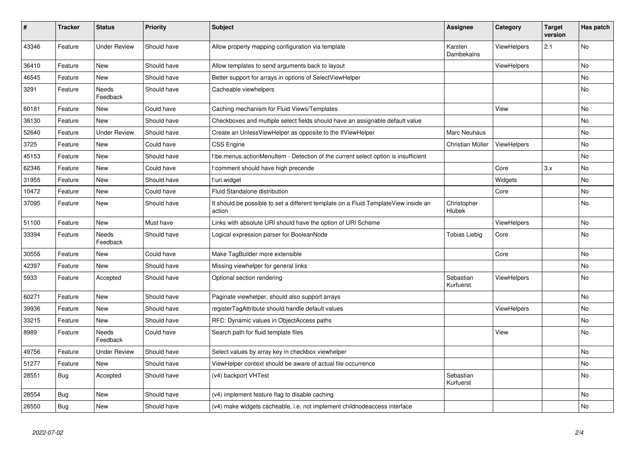| $\vert$ # | <b>Tracker</b> | <b>Status</b>            | <b>Priority</b> | <b>Subject</b>                                                                                | <b>Assignee</b>        | Category           | <b>Target</b><br>version | Has patch |
|-----------|----------------|--------------------------|-----------------|-----------------------------------------------------------------------------------------------|------------------------|--------------------|--------------------------|-----------|
| 43346     | Feature        | <b>Under Review</b>      | Should have     | Allow property mapping configuration via template                                             | Karsten<br>Dambekalns  | <b>ViewHelpers</b> | 2.1                      | <b>No</b> |
| 36410     | Feature        | New                      | Should have     | Allow templates to send arguments back to layout                                              |                        | <b>ViewHelpers</b> |                          | <b>No</b> |
| 46545     | Feature        | New                      | Should have     | Better support for arrays in options of SelectViewHelper                                      |                        |                    |                          | <b>No</b> |
| 3291      | Feature        | Needs<br>Feedback        | Should have     | Cacheable viewhelpers                                                                         |                        |                    |                          | No        |
| 60181     | Feature        | New                      | Could have      | Caching mechanism for Fluid Views/Templates                                                   |                        | View               |                          | <b>No</b> |
| 38130     | Feature        | New                      | Should have     | Checkboxes and multiple select fields should have an assignable default value                 |                        |                    |                          | <b>No</b> |
| 52640     | Feature        | <b>Under Review</b>      | Should have     | Create an UnlessViewHelper as opposite to the IfViewHelper                                    | Marc Neuhaus           |                    |                          | <b>No</b> |
| 3725      | Feature        | <b>New</b>               | Could have      | CSS Engine                                                                                    | Christian Müller       | ViewHelpers        |                          | <b>No</b> |
| 45153     | Feature        | <b>New</b>               | Should have     | f:be.menus.actionMenuItem - Detection of the current select option is insufficient            |                        |                    |                          | <b>No</b> |
| 62346     | Feature        | New                      | Could have      | comment should have high precende                                                             |                        | Core               | 3.x                      | <b>No</b> |
| 31955     | Feature        | New                      | Should have     | f:uri.widget                                                                                  |                        | Widgets            |                          | <b>No</b> |
| 10472     | Feature        | <b>New</b>               | Could have      | Fluid Standalone distribution                                                                 |                        | Core               |                          | No        |
| 37095     | Feature        | <b>New</b>               | Should have     | It should be possible to set a different template on a Fluid TemplateView inside an<br>action | Christopher<br>Hlubek  |                    |                          | No        |
| 51100     | Feature        | New                      | Must have       | Links with absolute URI should have the option of URI Scheme                                  |                        | ViewHelpers        |                          | No        |
| 33394     | Feature        | <b>Needs</b><br>Feedback | Should have     | Logical expression parser for BooleanNode                                                     | Tobias Liebig          | Core               |                          | <b>No</b> |
| 30555     | Feature        | New                      | Could have      | Make TagBuilder more extensible                                                               |                        | Core               |                          | No        |
| 42397     | Feature        | <b>New</b>               | Should have     | Missing viewhelper for general links                                                          |                        |                    |                          | <b>No</b> |
| 5933      | Feature        | Accepted                 | Should have     | Optional section rendering                                                                    | Sebastian<br>Kurfuerst | <b>ViewHelpers</b> |                          | <b>No</b> |
| 60271     | Feature        | <b>New</b>               | Should have     | Paginate viewhelper, should also support arrays                                               |                        |                    |                          | <b>No</b> |
| 39936     | Feature        | New                      | Should have     | registerTagAttribute should handle default values                                             |                        | ViewHelpers        |                          | No        |
| 33215     | Feature        | New                      | Should have     | RFC: Dynamic values in ObjectAccess paths                                                     |                        |                    |                          | <b>No</b> |
| 8989      | Feature        | Needs<br>Feedback        | Could have      | Search path for fluid template files                                                          |                        | View               |                          | No        |
| 49756     | Feature        | <b>Under Review</b>      | Should have     | Select values by array key in checkbox viewhelper                                             |                        |                    |                          | <b>No</b> |
| 51277     | Feature        | <b>New</b>               | Should have     | ViewHelper context should be aware of actual file occurrence                                  |                        |                    |                          | No        |
| 28551     | Bug            | Accepted                 | Should have     | (v4) backport VHTest                                                                          | Sebastian<br>Kurfuerst |                    |                          | <b>No</b> |
| 28554     | Bug            | <b>New</b>               | Should have     | (v4) implement feature flag to disable caching                                                |                        |                    |                          | <b>No</b> |
| 28550     | Bug            | <b>New</b>               | Should have     | (v4) make widgets cacheable, i.e. not implement childnodeaccess interface                     |                        |                    |                          | <b>No</b> |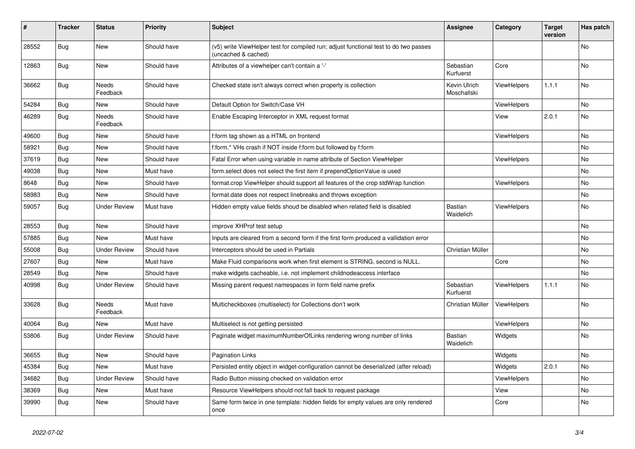| #     | <b>Tracker</b> | <b>Status</b>            | <b>Priority</b> | <b>Subject</b>                                                                                              | <b>Assignee</b>             | Category           | <b>Target</b><br>version | Has patch |
|-------|----------------|--------------------------|-----------------|-------------------------------------------------------------------------------------------------------------|-----------------------------|--------------------|--------------------------|-----------|
| 28552 | Bug            | New                      | Should have     | (v5) write ViewHelper test for compiled run; adjust functional test to do two passes<br>(uncached & cached) |                             |                    |                          | No        |
| 12863 | Bug            | New                      | Should have     | Attributes of a viewhelper can't contain a '-'                                                              | Sebastian<br>Kurfuerst      | Core               |                          | No        |
| 36662 | <b>Bug</b>     | Needs<br>Feedback        | Should have     | Checked state isn't always correct when property is collection                                              | Kevin Ulrich<br>Moschallski | <b>ViewHelpers</b> | 1.1.1                    | <b>No</b> |
| 54284 | Bug            | <b>New</b>               | Should have     | Default Option for Switch/Case VH                                                                           |                             | ViewHelpers        |                          | <b>No</b> |
| 46289 | Bug            | <b>Needs</b><br>Feedback | Should have     | Enable Escaping Interceptor in XML request format                                                           |                             | View               | 2.0.1                    | <b>No</b> |
| 49600 | <b>Bug</b>     | New                      | Should have     | f:form tag shown as a HTML on frontend                                                                      |                             | ViewHelpers        |                          | No        |
| 58921 | <b>Bug</b>     | New                      | Should have     | f:form.* VHs crash if NOT inside f:form but followed by f:form                                              |                             |                    |                          | No        |
| 37619 | <b>Bug</b>     | New                      | Should have     | Fatal Error when using variable in name attribute of Section ViewHelper                                     |                             | <b>ViewHelpers</b> |                          | No        |
| 49038 | <b>Bug</b>     | New                      | Must have       | form select does not select the first item if prependOptionValue is used                                    |                             |                    |                          | No        |
| 8648  | Bug            | <b>New</b>               | Should have     | format.crop ViewHelper should support all features of the crop stdWrap function                             |                             | <b>ViewHelpers</b> |                          | <b>No</b> |
| 58983 | Bug            | <b>New</b>               | Should have     | format.date does not respect linebreaks and throws exception                                                |                             |                    |                          | <b>No</b> |
| 59057 | Bug            | Under Review             | Must have       | Hidden empty value fields shoud be disabled when related field is disabled                                  | <b>Bastian</b><br>Waidelich | ViewHelpers        |                          | <b>No</b> |
| 28553 | <b>Bug</b>     | <b>New</b>               | Should have     | improve XHProf test setup                                                                                   |                             |                    |                          | <b>No</b> |
| 57885 | Bug            | <b>New</b>               | Must have       | Inputs are cleared from a second form if the first form produced a vallidation error                        |                             |                    |                          | <b>No</b> |
| 55008 | Bug            | <b>Under Review</b>      | Should have     | Interceptors should be used in Partials                                                                     | Christian Müller            |                    |                          | <b>No</b> |
| 27607 | Bug            | <b>New</b>               | Must have       | Make Fluid comparisons work when first element is STRING, second is NULL.                                   |                             | Core               |                          | <b>No</b> |
| 28549 | Bug            | <b>New</b>               | Should have     | make widgets cacheable, i.e. not implement childnodeaccess interface                                        |                             |                    |                          | <b>No</b> |
| 40998 | Bug            | <b>Under Review</b>      | Should have     | Missing parent request namespaces in form field name prefix                                                 | Sebastian<br>Kurfuerst      | ViewHelpers        | 1.1.1                    | No        |
| 33628 | Bug            | Needs<br>Feedback        | Must have       | Multicheckboxes (multiselect) for Collections don't work                                                    | Christian Müller            | <b>ViewHelpers</b> |                          | No        |
| 40064 | Bug            | <b>New</b>               | Must have       | Multiselect is not getting persisted                                                                        |                             | ViewHelpers        |                          | <b>No</b> |
| 53806 | Bug            | <b>Under Review</b>      | Should have     | Paginate widget maximumNumberOfLinks rendering wrong number of links                                        | Bastian<br>Waidelich        | Widgets            |                          | <b>No</b> |
| 36655 | Bug            | <b>New</b>               | Should have     | <b>Pagination Links</b>                                                                                     |                             | Widgets            |                          | <b>No</b> |
| 45384 | Bug            | <b>New</b>               | Must have       | Persisted entity object in widget-configuration cannot be deserialized (after reload)                       |                             | Widgets            | 2.0.1                    | <b>No</b> |
| 34682 | <b>Bug</b>     | <b>Under Review</b>      | Should have     | Radio Button missing checked on validation error                                                            |                             | <b>ViewHelpers</b> |                          | No        |
| 38369 | <b>Bug</b>     | New                      | Must have       | Resource ViewHelpers should not fall back to request package                                                |                             | View               |                          | No        |
| 39990 | <b>Bug</b>     | New                      | Should have     | Same form twice in one template: hidden fields for empty values are only rendered<br>once                   |                             | Core               |                          | No        |